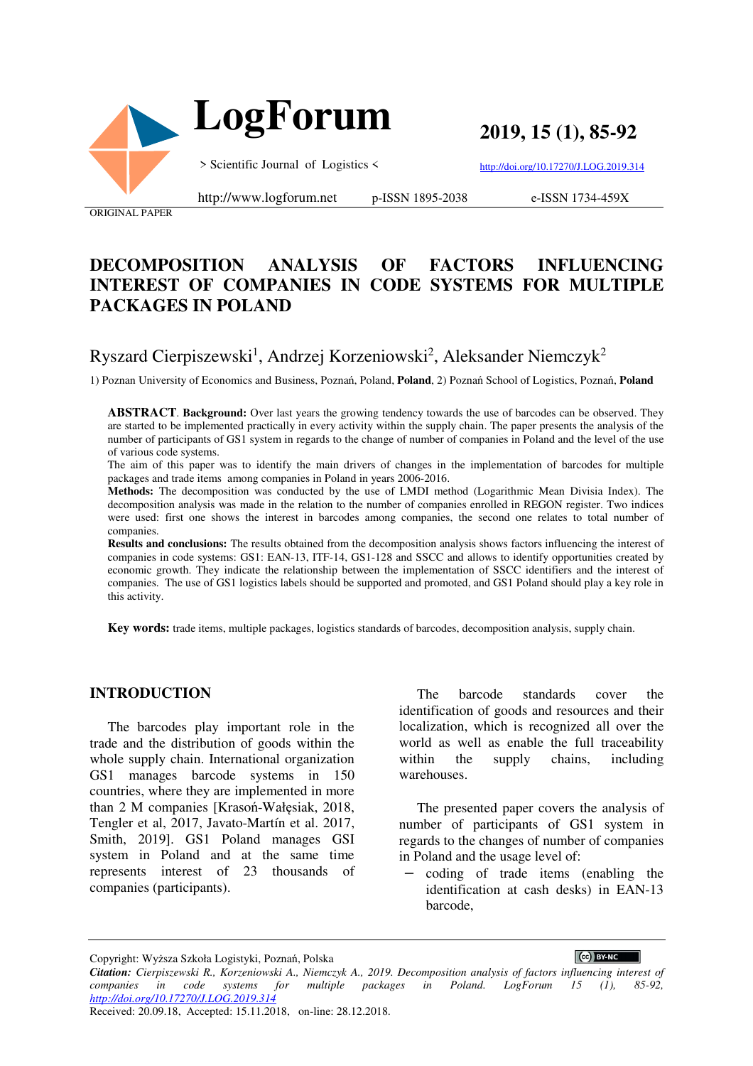

 **LogForum**

**2019, 15 (1), 85-92** 

> Scientific Journal of Logistics <

http://doi.org/10.17270/J.LOG.2019.314

ORIGINAL PAPER

http://www.logforum.net p-ISSN 1895-2038

e-ISSN 1734-459X

# **DECOMPOSITION ANALYSIS OF FACTORS INFLUENCING INTEREST OF COMPANIES IN CODE SYSTEMS FOR MULTIPLE PACKAGES IN POLAND**

# Ryszard Cierpiszewski<sup>1</sup>, Andrzej Korzeniowski<sup>2</sup>, Aleksander Niemczyk<sup>2</sup>

1) Poznan University of Economics and Business, Poznań, Poland, **Poland**, 2) Poznań School of Logistics, Poznań, **Poland**

**ABSTRACT**. **Background:** Over last years the growing tendency towards the use of barcodes can be observed. They are started to be implemented practically in every activity within the supply chain. The paper presents the analysis of the number of participants of GS1 system in regards to the change of number of companies in Poland and the level of the use of various code systems.

The aim of this paper was to identify the main drivers of changes in the implementation of barcodes for multiple packages and trade items among companies in Poland in years 2006-2016.

**Methods:** The decomposition was conducted by the use of LMDI method (Logarithmic Mean Divisia Index). The decomposition analysis was made in the relation to the number of companies enrolled in REGON register. Two indices were used: first one shows the interest in barcodes among companies, the second one relates to total number of companies.

**Results and conclusions:** The results obtained from the decomposition analysis shows factors influencing the interest of companies in code systems: GS1: EAN-13, ITF-14, GS1-128 and SSCC and allows to identify opportunities created by economic growth. They indicate the relationship between the implementation of SSCC identifiers and the interest of companies. The use of GS1 logistics labels should be supported and promoted, and GS1 Poland should play a key role in this activity.

**Key words:** trade items, multiple packages, logistics standards of barcodes, decomposition analysis, supply chain.

#### **INTRODUCTION**

The barcodes play important role in the trade and the distribution of goods within the whole supply chain. International organization GS1 manages barcode systems in 150 countries, where they are implemented in more than 2 M companies [Krasoń-Wałęsiak, 2018, Tengler et al, 2017, Javato-Martín et al. 2017, Smith, 2019]. GS1 Poland manages GSI system in Poland and at the same time represents interest of 23 thousands of companies (participants).

The barcode standards cover the identification of goods and resources and their localization, which is recognized all over the world as well as enable the full traceability within the supply chains, including warehouses.

The presented paper covers the analysis of number of participants of GS1 system in regards to the changes of number of companies in Poland and the usage level of:

− coding of trade items (enabling the identification at cash desks) in EAN-13 barcode,

CC BY-NC

Copyright: Wyższa Szkoła Logistyki, Poznań, Polska

*Citation: Cierpiszewski R., Korzeniowski A., Niemczyk A., 2019. Decomposition analysis of factors influencing interest of companies in code systems for multiple packages in Poland. LogForum 15 (1), 85-92, http://doi.org/10.17270/J.LOG.2019.314*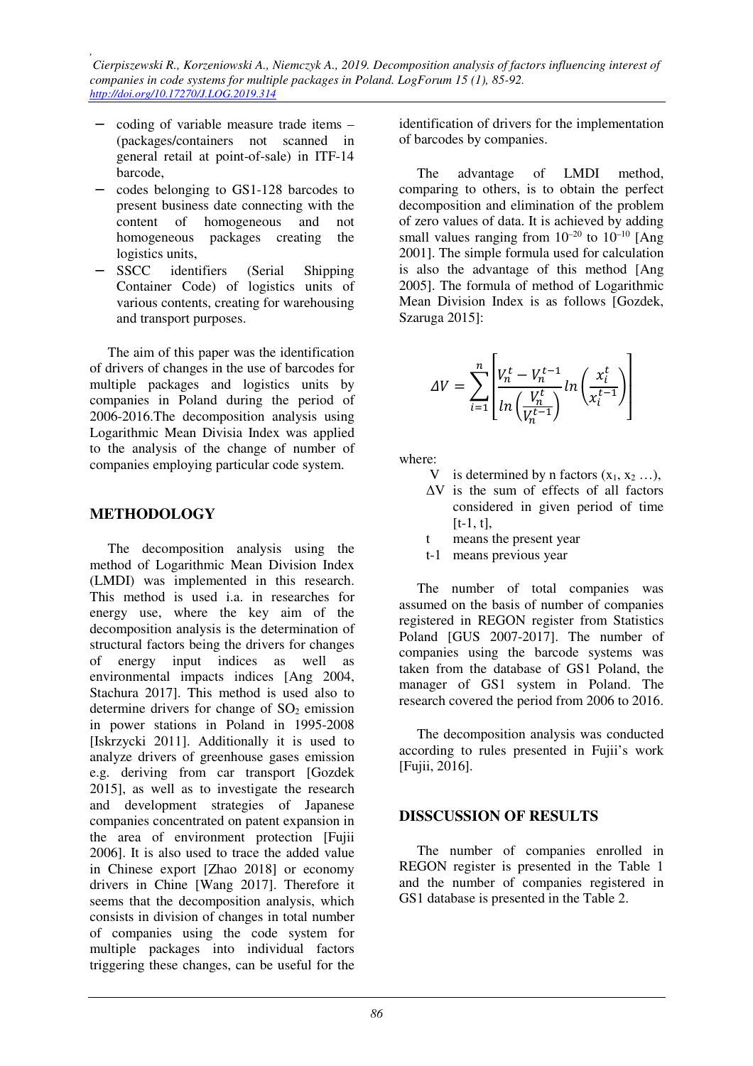*, Cierpiszewski R., Korzeniowski A., Niemczyk A., 2019. Decomposition analysis of factors influencing interest of companies in code systems for multiple packages in Poland. LogForum 15 (1), 85-92. http://doi.org/10.17270/J.LOG.2019.314* 

- − coding of variable measure trade items (packages/containers not scanned in general retail at point-of-sale) in ITF-14 barcode,
- − codes belonging to GS1-128 barcodes to present business date connecting with the content of homogeneous and not homogeneous packages creating the logistics units,
- SSCC identifiers (Serial Shipping Container Code) of logistics units of various contents, creating for warehousing and transport purposes.

The aim of this paper was the identification of drivers of changes in the use of barcodes for multiple packages and logistics units by companies in Poland during the period of 2006-2016.The decomposition analysis using Logarithmic Mean Divisia Index was applied to the analysis of the change of number of companies employing particular code system.

#### **METHODOLOGY**

The decomposition analysis using the method of Logarithmic Mean Division Index (LMDI) was implemented in this research. This method is used i.a. in researches for energy use, where the key aim of the decomposition analysis is the determination of structural factors being the drivers for changes of energy input indices as well as environmental impacts indices [Ang 2004, Stachura 2017]. This method is used also to determine drivers for change of  $SO<sub>2</sub>$  emission in power stations in Poland in 1995-2008 [Iskrzycki 2011]. Additionally it is used to analyze drivers of greenhouse gases emission e.g. deriving from car transport [Gozdek 2015], as well as to investigate the research and development strategies of Japanese companies concentrated on patent expansion in the area of environment protection [Fujii 2006]. It is also used to trace the added value in Chinese export [Zhao 2018] or economy drivers in Chine [Wang 2017]. Therefore it seems that the decomposition analysis, which consists in division of changes in total number of companies using the code system for multiple packages into individual factors triggering these changes, can be useful for the identification of drivers for the implementation of barcodes by companies.

The advantage of LMDI method, comparing to others, is to obtain the perfect decomposition and elimination of the problem of zero values of data. It is achieved by adding small values ranging from  $10^{-20}$  to  $10^{-10}$  [Ang] 2001]. The simple formula used for calculation is also the advantage of this method [Ang 2005]. The formula of method of Logarithmic Mean Division Index is as follows [Gozdek, Szaruga 2015]:

$$
\Delta V = \sum_{i=1}^{n} \left[ \frac{V_n^t - V_n^{t-1}}{\ln\left(\frac{V_n^t}{V_n^{t-1}}\right)} \ln\left(\frac{x_i^t}{x_i^{t-1}}\right) \right]
$$

where:

- V is determined by n factors  $(x_1, x_2, \ldots)$ ,
- ΔV is the sum of effects of all factors considered in given period of time  $[t-1, t]$ ,
- t means the present year
- t-1 means previous year

The number of total companies was assumed on the basis of number of companies registered in REGON register from Statistics Poland [GUS 2007-2017]. The number of companies using the barcode systems was taken from the database of GS1 Poland, the manager of GS1 system in Poland. The research covered the period from 2006 to 2016.

The decomposition analysis was conducted according to rules presented in Fujii's work [Fujii, 2016].

### **DISSCUSSION OF RESULTS**

The number of companies enrolled in REGON register is presented in the Table 1 and the number of companies registered in GS1 database is presented in the Table 2.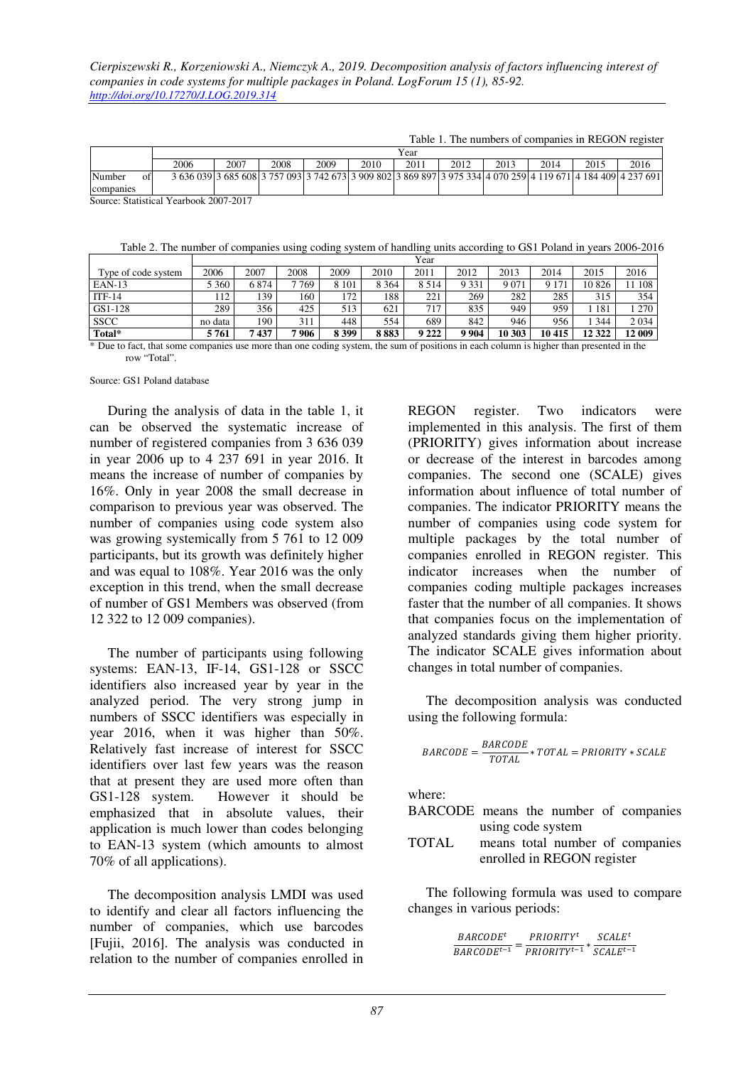Table 1. The numbers of companies in REGON register

|                                        |    | Year |      |      |      |      |      |      |      |      |      |                                                                                                               |
|----------------------------------------|----|------|------|------|------|------|------|------|------|------|------|---------------------------------------------------------------------------------------------------------------|
|                                        |    | 2006 | 2007 | 2008 | 2009 | 2010 | 2011 | 2012 | 2013 | 2014 | 2015 | 2016                                                                                                          |
| Number                                 | ΩŤ |      |      |      |      |      |      |      |      |      |      | 3 636 039 3 685 608 3 757 093 3 742 673 3 909 802 3 869 897 3 975 334 4 070 259 4 119 671 4 184 409 4 237 691 |
| companies                              |    |      |      |      |      |      |      |      |      |      |      |                                                                                                               |
| Source: Statistical Yearbook 2007-2017 |    |      |      |      |      |      |      |      |      |      |      |                                                                                                               |

Table 2. The number of companies using coding system of handling units according to GS1 Poland in years 2006-2016

|                     | Year          |      |      |         |         |         |         |        |         |         |         |
|---------------------|---------------|------|------|---------|---------|---------|---------|--------|---------|---------|---------|
| Type of code system | 2006          | 2007 | 2008 | 2009    | 2010    | 2011    | 2012    | 2013   | 2014    | 2015    | 2016    |
| $EAN-13$            | 5 360         | 6874 | 7769 | 8 1 0 1 | 8 3 6 4 | 8 5 1 4 | 9 3 3 1 | 9 0 71 | 9 1 7 1 | 10826   | 108     |
| $ITF-14$            | <sup>12</sup> | 139  | 160  | 172     | 188     | 221     | 269     | 282    | 285     | 315     | 354     |
| GS1-128             | 289           | 356  | 425  | 513     | 621     | 717     | 835     | 949    | 959     | 181     | 1270    |
| <b>SSCC</b>         | no data       | 190  | 311  | 448     | 554     | 689     | 842     | 946    | 956     | 344     | 2 0 3 4 |
| Total*              | 5761          | 7437 | 7906 | 8 3 9 9 | 883     | 9 2 2 2 | 9904    | 10 303 | 10415   | 12 3 22 | 12 009  |

\* Due to fact, that some companies use more than one coding system, the sum of positions in each column is higher than presented in the row "Total".

Source: GS1 Poland database

During the analysis of data in the table 1, it can be observed the systematic increase of number of registered companies from 3 636 039 in year 2006 up to 4 237 691 in year 2016. It means the increase of number of companies by 16%. Only in year 2008 the small decrease in comparison to previous year was observed. The number of companies using code system also was growing systemically from 5 761 to 12 009 participants, but its growth was definitely higher and was equal to 108%. Year 2016 was the only exception in this trend, when the small decrease of number of GS1 Members was observed (from 12 322 to 12 009 companies).

The number of participants using following systems: EAN-13, IF-14, GS1-128 or SSCC identifiers also increased year by year in the analyzed period. The very strong jump in numbers of SSCC identifiers was especially in year 2016, when it was higher than 50%. Relatively fast increase of interest for SSCC identifiers over last few years was the reason that at present they are used more often than GS1-128 system. However it should be emphasized that in absolute values, their application is much lower than codes belonging to EAN-13 system (which amounts to almost 70% of all applications).

The decomposition analysis LMDI was used to identify and clear all factors influencing the number of companies, which use barcodes [Fujii, 2016]. The analysis was conducted in relation to the number of companies enrolled in REGON register. Two indicators were implemented in this analysis. The first of them (PRIORITY) gives information about increase or decrease of the interest in barcodes among companies. The second one (SCALE) gives information about influence of total number of companies. The indicator PRIORITY means the number of companies using code system for multiple packages by the total number of companies enrolled in REGON register. This indicator increases when the number of companies coding multiple packages increases faster that the number of all companies. It shows that companies focus on the implementation of analyzed standards giving them higher priority. The indicator SCALE gives information about changes in total number of companies.

The decomposition analysis was conducted using the following formula:

$$
BARCODE = \frac{BARCODE}{TOTAL} * TOTAL = PRIORITY * SCALE
$$

where:

- BARCODE means the number of companies using code system
- TOTAL means total number of companies enrolled in REGON register

The following formula was used to compare changes in various periods:

```
BARCODE<sup>t</sup>\overline{BARCODE^{t-1}} = \overline{PRIORITY^{t-1}} * \overline{SCALE^{t-1}}PRIORITY<sup>t</sup>SCALE<sup>t</sup>
```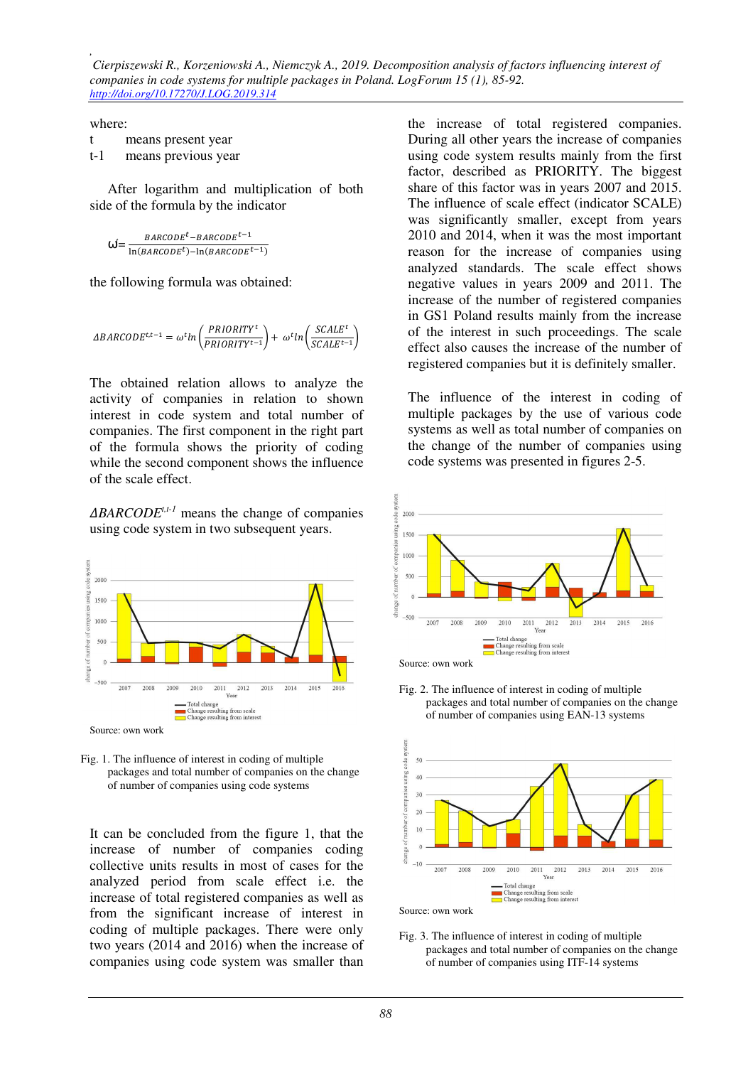*Cierpiszewski R., Korzeniowski A., Niemczyk A., 2019. Decomposition analysis of factors influencing interest of companies in code systems for multiple packages in Poland. LogForum 15 (1), 85-92. http://doi.org/10.17270/J.LOG.2019.314* 

where:

*,* 

|       | means present year  |
|-------|---------------------|
| $t-1$ | means previous year |

After logarithm and multiplication of both side of the formula by the indicator

$$
\omega' = \frac{\text{BARCODE}^t - \text{BARCODE}^{t-1}}{\ln(\text{BARCODE}^t) - \ln(\text{BARCODE}^{t-1})}
$$

the following formula was obtained:

$$
\label{eq:deltaRRCODE} \Delta BARCODE^{t,t-1} = \omega^t ln \left( \frac{PRIORITY^t}{PRIORITY^{t-1}} \right) + \; \omega^t ln \left( \frac{SCALE^t}{SCALE^{t-1}} \right)
$$

The obtained relation allows to analyze the activity of companies in relation to shown interest in code system and total number of companies. The first component in the right part of the formula shows the priority of coding while the second component shows the influence of the scale effect.

 $\triangle BARCODE^{t,t-1}$  means the change of companies using code system in two subsequent years.



Source: own work

Fig. 1. The influence of interest in coding of multiple packages and total number of companies on the change of number of companies using code systems

It can be concluded from the figure 1, that the increase of number of companies coding collective units results in most of cases for the analyzed period from scale effect i.e. the increase of total registered companies as well as from the significant increase of interest in coding of multiple packages. There were only two years (2014 and 2016) when the increase of companies using code system was smaller than

the increase of total registered companies. During all other years the increase of companies using code system results mainly from the first factor, described as PRIORITY. The biggest share of this factor was in years 2007 and 2015. The influence of scale effect (indicator SCALE) was significantly smaller, except from years 2010 and 2014, when it was the most important reason for the increase of companies using analyzed standards. The scale effect shows negative values in years 2009 and 2011. The increase of the number of registered companies in GS1 Poland results mainly from the increase of the interest in such proceedings. The scale effect also causes the increase of the number of registered companies but it is definitely smaller.

The influence of the interest in coding of multiple packages by the use of various code systems as well as total number of companies on the change of the number of companies using code systems was presented in figures 2-5.



Fig. 2. The influence of interest in coding of multiple packages and total number of companies on the change of number of companies using EAN-13 systems



Source: own work

Fig. 3. The influence of interest in coding of multiple packages and total number of companies on the change of number of companies using ITF-14 systems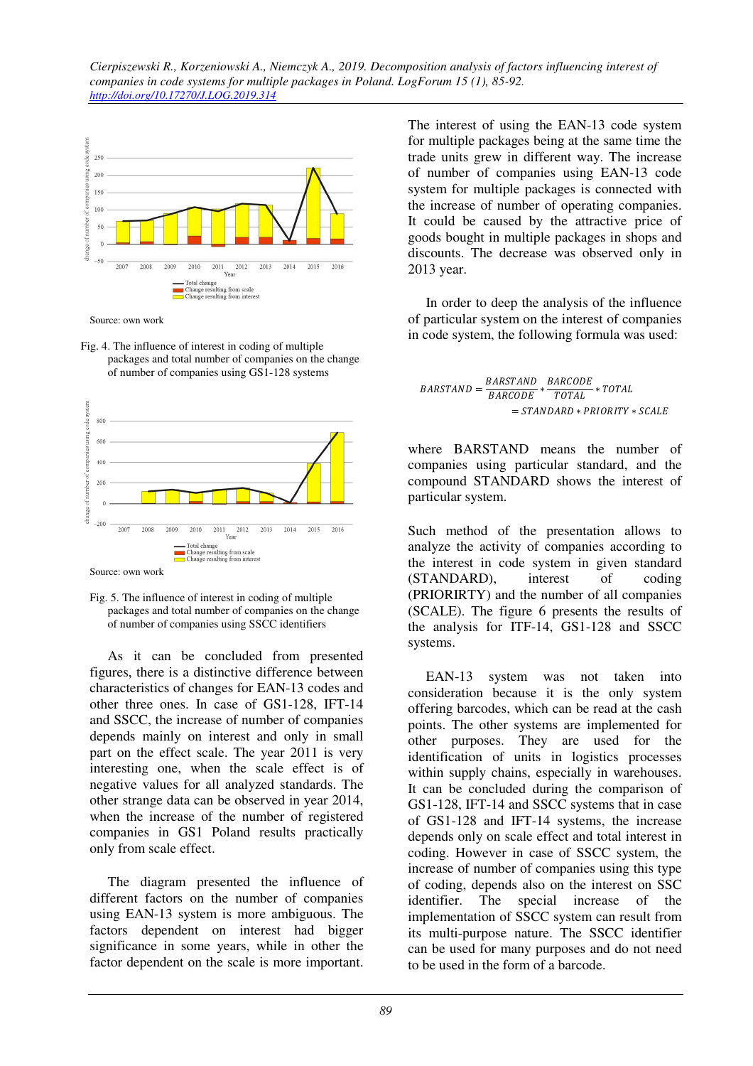

Source: own work

Fig. 4. The influence of interest in coding of multiple packages and total number of companies on the change of number of companies using GS1-128 systems



Source: own work

As it can be concluded from presented figures, there is a distinctive difference between characteristics of changes for EAN-13 codes and other three ones. In case of GS1-128, IFT-14 and SSCC, the increase of number of companies depends mainly on interest and only in small part on the effect scale. The year 2011 is very interesting one, when the scale effect is of negative values for all analyzed standards. The other strange data can be observed in year 2014, when the increase of the number of registered companies in GS1 Poland results practically only from scale effect.

The diagram presented the influence of different factors on the number of companies using EAN-13 system is more ambiguous. The factors dependent on interest had bigger significance in some years, while in other the factor dependent on the scale is more important.

The interest of using the EAN-13 code system for multiple packages being at the same time the trade units grew in different way. The increase of number of companies using EAN-13 code system for multiple packages is connected with the increase of number of operating companies. It could be caused by the attractive price of goods bought in multiple packages in shops and discounts. The decrease was observed only in 2013 year.

In order to deep the analysis of the influence of particular system on the interest of companies in code system, the following formula was used:

$$
BARSTAND = \frac{BARSTAND}{BARCODE} * \frac{BARCODE}{TOTAL} * TOTAL
$$

$$
= STANDARD * PRIORITY * SCALE
$$

where BARSTAND means the number of companies using particular standard, and the compound STANDARD shows the interest of particular system.

Such method of the presentation allows to analyze the activity of companies according to the interest in code system in given standard (STANDARD), interest of coding (PRIORIRTY) and the number of all companies (SCALE). The figure 6 presents the results of the analysis for ITF-14, GS1-128 and SSCC systems.

EAN-13 system was not taken into consideration because it is the only system offering barcodes, which can be read at the cash points. The other systems are implemented for other purposes. They are used for the identification of units in logistics processes within supply chains, especially in warehouses. It can be concluded during the comparison of GS1-128, IFT-14 and SSCC systems that in case of GS1-128 and IFT-14 systems, the increase depends only on scale effect and total interest in coding. However in case of SSCC system, the increase of number of companies using this type of coding, depends also on the interest on SSC identifier. The special increase of the implementation of SSCC system can result from its multi-purpose nature. The SSCC identifier can be used for many purposes and do not need to be used in the form of a barcode.

Fig. 5. The influence of interest in coding of multiple packages and total number of companies on the change of number of companies using SSCC identifiers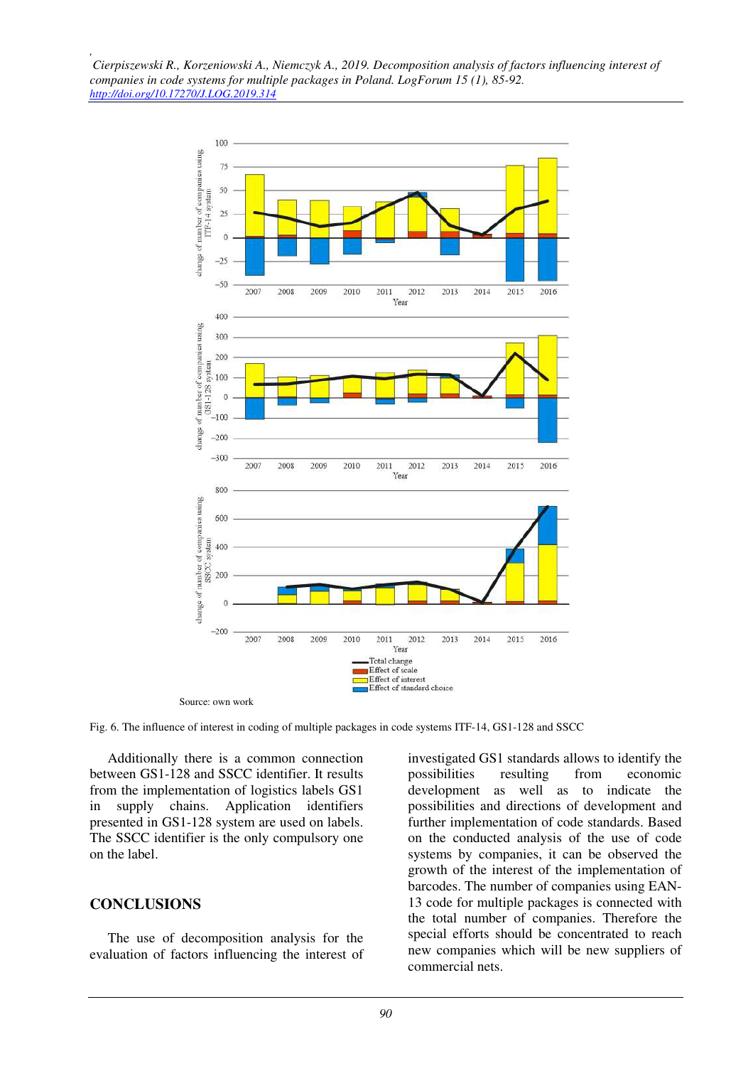

Fig. 6. The influence of interest in coding of multiple packages in code systems ITF-14, GS1-128 and SSCC

Additionally there is a common connection between GS1-128 and SSCC identifier. It results from the implementation of logistics labels GS1 in supply chains. Application identifiers presented in GS1-128 system are used on labels. The SSCC identifier is the only compulsory one on the label.

#### **CONCLUSIONS**

*,* 

The use of decomposition analysis for the evaluation of factors influencing the interest of investigated GS1 standards allows to identify the possibilities resulting from economic development as well as to indicate the possibilities and directions of development and further implementation of code standards. Based on the conducted analysis of the use of code systems by companies, it can be observed the growth of the interest of the implementation of barcodes. The number of companies using EAN-13 code for multiple packages is connected with the total number of companies. Therefore the special efforts should be concentrated to reach new companies which will be new suppliers of commercial nets.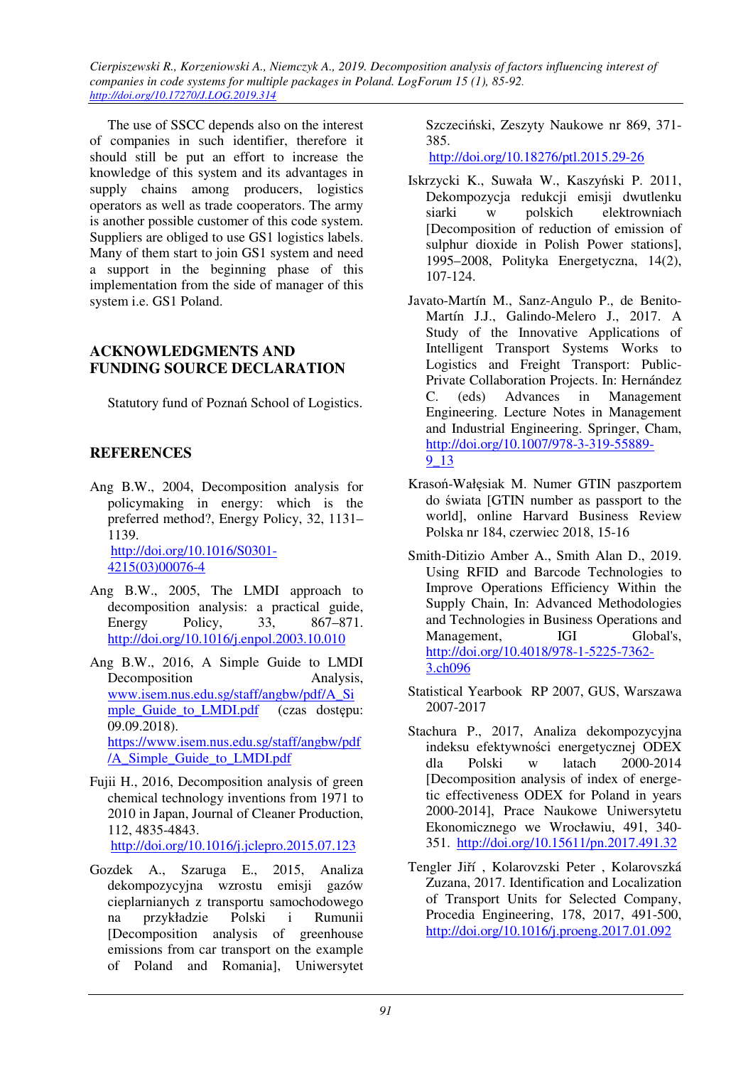*Cierpiszewski R., Korzeniowski A., Niemczyk A., 2019. Decomposition analysis of factors influencing interest of companies in code systems for multiple packages in Poland. LogForum 15 (1), 85-92. http://doi.org/10.17270/J.LOG.2019.314* 

The use of SSCC depends also on the interest of companies in such identifier, therefore it should still be put an effort to increase the knowledge of this system and its advantages in supply chains among producers, logistics operators as well as trade cooperators. The army is another possible customer of this code system. Suppliers are obliged to use GS1 logistics labels. Many of them start to join GS1 system and need a support in the beginning phase of this implementation from the side of manager of this system i.e. GS1 Poland.

### **ACKNOWLEDGMENTS AND FUNDING SOURCE DECLARATION**

Statutory fund of Poznań School of Logistics.

## **REFERENCES**

- Ang B.W., 2004, Decomposition analysis for policymaking in energy: which is the preferred method?, Energy Policy, 32, 1131– 1139. http://doi.org/10.1016/S0301- 4215(03)00076-4
- Ang B.W., 2005, The LMDI approach to decomposition analysis: a practical guide, Energy Policy, 33, 867–871. http://doi.org/10.1016/j.enpol.2003.10.010
- Ang B.W., 2016, A Simple Guide to LMDI Decomposition Analysis. www.isem.nus.edu.sg/staff/angbw/pdf/A\_Si mple Guide to LMDI.pdf (czas dostępu: 09.09.2018). https://www.isem.nus.edu.sg/staff/angbw/pdf /A\_Simple\_Guide\_to\_LMDI.pdf
- Fujii H., 2016, Decomposition analysis of green chemical technology inventions from 1971 to 2010 in Japan, Journal of Cleaner Production, 112, 4835-4843.

http://doi.org/10.1016/j.jclepro.2015.07.123

Gozdek A., Szaruga E., 2015, Analiza dekompozycyjna wzrostu emisji gazów cieplarnianych z transportu samochodowego na przykładzie Polski i Rumunii [Decomposition analysis of greenhouse emissions from car transport on the example of Poland and Romania], Uniwersytet Szczeciński, Zeszyty Naukowe nr 869, 371- 385.

http://doi.org/10.18276/ptl.2015.29-26

- Iskrzycki K., Suwała W., Kaszyński P. 2011, Dekompozycja redukcji emisji dwutlenku siarki w polskich elektrowniach [Decomposition of reduction of emission of sulphur dioxide in Polish Power stations], 1995–2008, Polityka Energetyczna, 14(2), 107-124.
- Javato-Martín M., Sanz-Angulo P., de Benito-Martín J.J., Galindo-Melero J., 2017. A Study of the Innovative Applications of Intelligent Transport Systems Works to Logistics and Freight Transport: Public-Private Collaboration Projects. In: Hernández C. (eds) Advances in Management Engineering. Lecture Notes in Management and Industrial Engineering. Springer, Cham, http://doi.org/10.1007/978-3-319-55889- 9\_13
- Krasoń-Wałęsiak M. Numer GTIN paszportem do świata [GTIN number as passport to the world], online Harvard Business Review Polska nr 184, czerwiec 2018, 15-16
- Smith-Ditizio Amber A., Smith Alan D., 2019. Using RFID and Barcode Technologies to Improve Operations Efficiency Within the Supply Chain, In: Advanced Methodologies and Technologies in Business Operations and Management, IGI Global's, http://doi.org/10.4018/978-1-5225-7362- 3.ch096
- Statistical Yearbook RP 2007, GUS, Warszawa 2007-2017
- Stachura P., 2017, Analiza dekompozycyjna indeksu efektywności energetycznej ODEX dla Polski w latach 2000-2014 [Decomposition analysis of index of energetic effectiveness ODEX for Poland in years 2000-2014], Prace Naukowe Uniwersytetu Ekonomicznego we Wrocławiu, 491, 340- 351. http://doi.org/10.15611/pn.2017.491.32
- Tengler Jiří , Kolarovzski Peter , Kolarovszká Zuzana, 2017. Identification and Localization of Transport Units for Selected Company, Procedia Engineering, 178, 2017, 491-500, http://doi.org/10.1016/j.proeng.2017.01.092